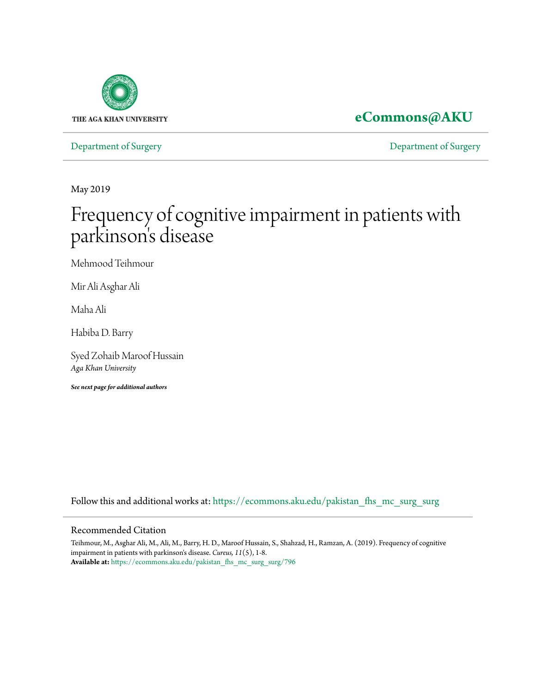

## **[eCommons@AKU](https://ecommons.aku.edu/?utm_source=ecommons.aku.edu%2Fpakistan_fhs_mc_surg_surg%2F796&utm_medium=PDF&utm_campaign=PDFCoverPages)**

[Department of Surgery](https://ecommons.aku.edu/pakistan_fhs_mc_surg_surg?utm_source=ecommons.aku.edu%2Fpakistan_fhs_mc_surg_surg%2F796&utm_medium=PDF&utm_campaign=PDFCoverPages) [Department of Surgery](https://ecommons.aku.edu/pakistan_fhs_mc_surg?utm_source=ecommons.aku.edu%2Fpakistan_fhs_mc_surg_surg%2F796&utm_medium=PDF&utm_campaign=PDFCoverPages)

May 2019

# Frequency of cognitive impairment in patients with parkinson's disease

Mehmood Teihmour

Mir Ali Asghar Ali

Maha Ali

Habiba D. Barry

Syed Zohaib Maroof Hussain *Aga Khan University*

*See next page for additional authors*

Follow this and additional works at: [https://ecommons.aku.edu/pakistan\\_fhs\\_mc\\_surg\\_surg](https://ecommons.aku.edu/pakistan_fhs_mc_surg_surg?utm_source=ecommons.aku.edu%2Fpakistan_fhs_mc_surg_surg%2F796&utm_medium=PDF&utm_campaign=PDFCoverPages)

#### Recommended Citation

Teihmour, M., Asghar Ali, M., Ali, M., Barry, H. D., Maroof Hussain, S., Shahzad, H., Ramzan, A. (2019). Frequency of cognitive impairment in patients with parkinson's disease. *Cureus, 11*(5), 1-8. **Available at:** [https://ecommons.aku.edu/pakistan\\_fhs\\_mc\\_surg\\_surg/796](https://ecommons.aku.edu/pakistan_fhs_mc_surg_surg/796)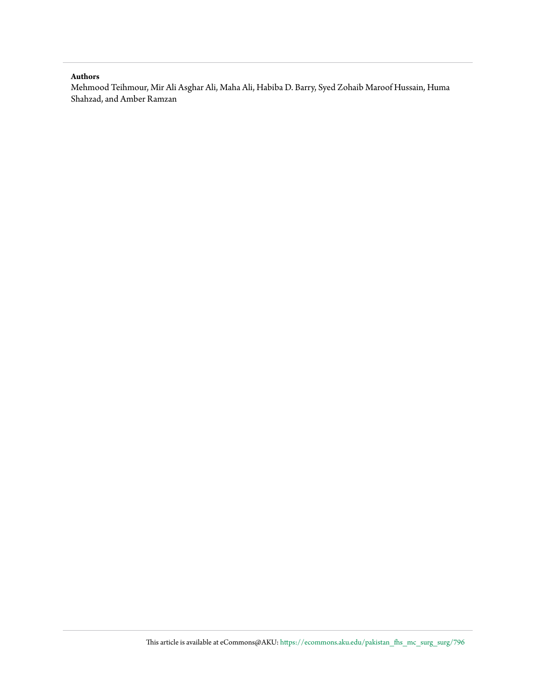#### **Authors**

Mehmood Teihmour, Mir Ali Asghar Ali, Maha Ali, Habiba D. Barry, Syed Zohaib Maroof Hussain, Huma Shahzad, and Amber Ramzan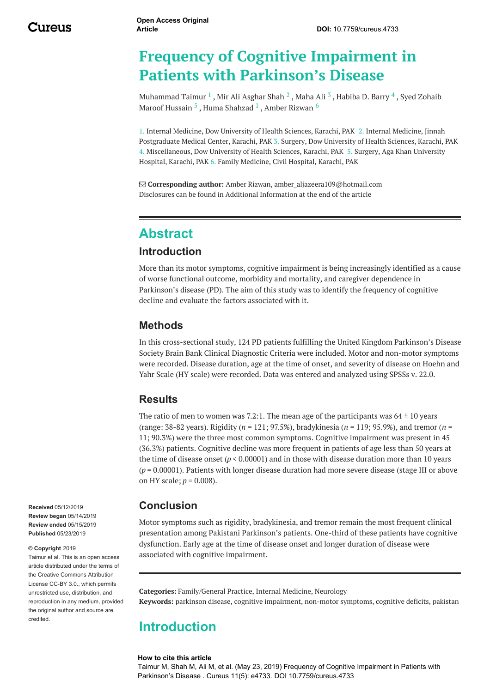## **Frequency of Cognitive Impairment in Patients with Parkinson's Disease**

[Muhammad](https://www.cureus.com/users/51795-syed-zohaib-maroof-hussain) Taimur  $^1$  , Mir Ali [Asghar](https://www.cureus.com/users/116156-mir-ali-asghar-shah) Shah  $^2$  , [Maha](https://www.cureus.com/users/118481-maha-ali) Ali  $^3$  , [Habiba](https://www.cureus.com/users/119245-habiba-d-barry) D. Barry  $^4$  , Syed Zohaib Maroof Hussain  $^5$  , Huma [Shahzad](https://www.cureus.com/users/117835-huma-shahzad)  $^1$  , Amber [Rizwan](https://www.cureus.com/users/117904-amber-rizwan)  $^6$ 

1. Internal Medicine, Dow University of Health Sciences, Karachi, PAK 2. Internal Medicine, Jinnah Postgraduate Medical Center, Karachi, PAK 3. Surgery, Dow University of Health Sciences, Karachi, PAK 4. Miscellaneous, Dow University of Health Sciences, Karachi, PAK 5. Surgery, Aga Khan University Hospital, Karachi, PAK 6. Family Medicine, Civil Hospital, Karachi, PAK

 **Corresponding author:** Amber Rizwan, amber\_aljazeera109@hotmail.com Disclosures can be found in Additional Information at the end of the article

## **Abstract**

#### **Introduction**

More than its motor symptoms, cognitive impairment is being increasingly identified as a cause of worse functional outcome, morbidity and mortality, and caregiver dependence in Parkinson's disease (PD). The aim of this study was to identify the frequency of cognitive decline and evaluate the factors associated with it.

#### **Methods**

In this cross-sectional study, 124 PD patients fulfilling the United Kingdom Parkinson's Disease Society Brain Bank Clinical Diagnostic Criteria were included. Motor and non-motor symptoms were recorded. Disease duration, age at the time of onset, and severity of disease on Hoehn and Yahr Scale (HY scale) were recorded. Data was entered and analyzed using SPSSs v. 22.0.

#### **Results**

The ratio of men to women was 7.2:1. The mean age of the participants was  $64 \pm 10$  years (range: 38-82 years). Rigidity (*n* = 121; 97.5%), bradykinesia (*n* = 119; 95.9%), and tremor (*n* = 11; 90.3%) were the three most common symptoms. Cognitive impairment was present in 45 (36.3%) patients. Cognitive decline was more frequent in patients of age less than 50 years at the time of disease onset ( $p < 0.00001$ ) and in those with disease duration more than 10 years (*p* = 0.00001). Patients with longer disease duration had more severe disease (stage III or above on HY scale; *p* = 0.008).

#### **Conclusion**

Motor symptoms such as rigidity, bradykinesia, and tremor remain the most frequent clinical presentation among Pakistani Parkinson's patients. One-third of these patients have cognitive dysfunction. Early age at the time of disease onset and longer duration of disease were associated with cognitive impairment.

**Categories:** Family/General Practice, Internal Medicine, Neurology **Keywords:** parkinson disease, cognitive impairment, non-motor symptoms, cognitive deficits, pakistan

#### **Introduction**

#### **How to cite this article**

Taimur M, Shah M, Ali M, et al. (May 23, 2019) Frequency of Cognitive Impairment in Patients with Parkinson's Disease . Cureus 11(5): e4733. DOI 10.7759/cureus.4733

**Received** 05/12/2019 **Review began** 05/14/2019 **Review ended** 05/15/2019 **Published** 05/23/2019

#### **© Copyright** 2019

Taimur et al. This is an open access article distributed under the terms of the Creative Commons Attribution License CC-BY 3.0., which permits unrestricted use, distribution, and reproduction in any medium, provided the original author and source are credited.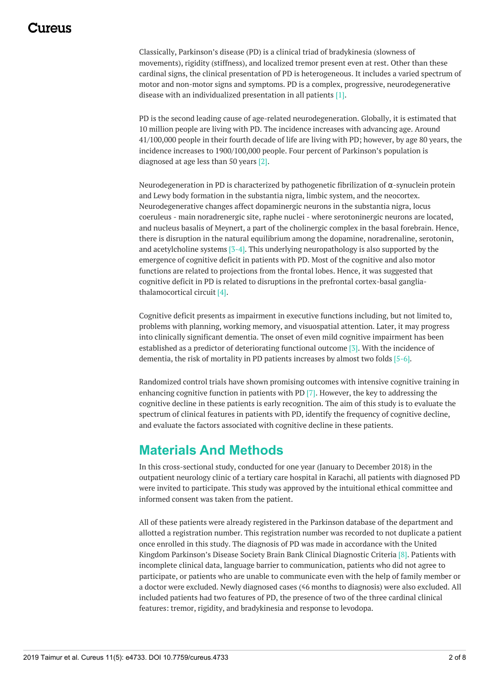<span id="page-3-0"></span>Classically, Parkinson's disease (PD) is a clinical triad of bradykinesia (slowness of movements), rigidity (stiffness), and localized tremor present even at rest. Other than these cardinal signs, the clinical presentation of PD is heterogeneous. It includes a varied spectrum of motor and non-motor signs and symptoms. PD is a complex, progressive, neurodegenerative disease with an individualized presentation in all patients [1].

PD is the second leading cause of age-related neurodegeneration. Globally, it is estimated that 10 million people are living with PD. The incidence increases with advancing age. Around 41/100,000 people in their fourth decade of life are living with PD; however, by age 80 years, the incidence increases to 1900/100,000 people. Four percent of Parkinson's population is diagnosed at age less than 50 years [2].

Neurodegeneration in PD is characterized by pathogenetic fibrilization of α-synuclein protein and Lewy body formation in the substantia nigra, limbic system, and the neocortex. Neurodegenerative changes affect dopaminergic neurons in the substantia nigra, locus coeruleus - main noradrenergic site, raphe nuclei - where serotoninergic neurons are located, and nucleus basalis of Meynert, a part of the cholinergic complex in the basal forebrain. Hence, there is disruption in the natural equilibrium among the dopamine, noradrenaline, serotonin, and acetylcholine systems [3-4]. This underlying neuropathology is also supported by the emergence of cognitive deficit in patients with PD. Most of the cognitive and also motor functions are related to projections from the frontal lobes. Hence, it was suggested that cognitive deficit in PD is related to disruptions in the prefrontal cortex-basal gangliathalamocortical circuit [4].

Cognitive deficit presents as impairment in executive functions including, but not limited to, problems with planning, working memory, and visuospatial attention. Later, it may progress into clinically significant dementia. The onset of even mild cognitive impairment has been established as a predictor of deteriorating functional outcome [3]. With the incidence of dementia, the risk of mortality in PD patients increases by almost two folds [5-6].

Randomized control trials have shown promising outcomes with intensive cognitive training in enhancing cognitive function in patients with PD [7]. However, the key to addressing the cognitive decline in these patients is early recognition. The aim of this study is to evaluate the spectrum of clinical features in patients with PD, identify the frequency of cognitive decline, and evaluate the factors associated with cognitive decline in these patients.

## **Materials And Methods**

In this cross-sectional study, conducted for one year (January to December 2018) in the outpatient neurology clinic of a tertiary care hospital in Karachi, all patients with diagnosed PD were invited to participate. This study was approved by the intuitional ethical committee and informed consent was taken from the patient.

All of these patients were already registered in the Parkinson database of the department and allotted a registration number. This registration number was recorded to not duplicate a patient once enrolled in this study. The diagnosis of PD was made in accordance with the United Kingdom Parkinson's Disease Society Brain Bank Clinical Diagnostic Criteria [8]. Patients with incomplete clinical data, language barrier to communication, patients who did not agree to participate, or patients who are unable to communicate even with the help of family member or a doctor were excluded. Newly diagnosed cases (≤6 months to diagnosis) were also excluded. All included patients had two features of PD, the presence of two of the three cardinal clinical features: tremor, rigidity, and bradykinesia and response to levodopa.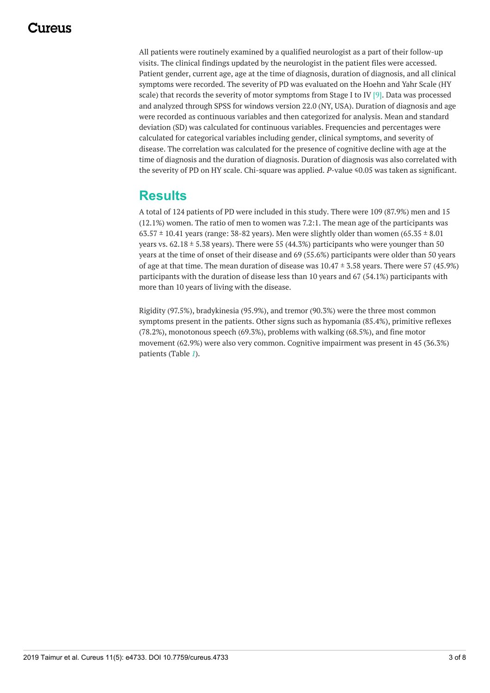<span id="page-4-0"></span>All patients were routinely examined by a qualified neurologist as a part of their follow-up visits. The clinical findings updated by the neurologist in the patient files were accessed. Patient gender, current age, age at the time of diagnosis, duration of diagnosis, and all clinical symptoms were recorded. The severity of PD was evaluated on the Hoehn and Yahr Scale (HY scale) that records the severity of motor symptoms from Stage I to IV [9]. Data was processed and analyzed through SPSS for windows version 22.0 (NY, USA). Duration of diagnosis and age were recorded as continuous variables and then categorized for analysis. Mean and standard deviation (SD) was calculated for continuous variables. Frequencies and percentages were calculated for categorical variables including gender, clinical symptoms, and severity of disease. The correlation was calculated for the presence of cognitive decline with age at the time of diagnosis and the duration of diagnosis. Duration of diagnosis was also correlated with the severity of PD on HY scale. Chi-square was applied. *P*-value ≤0.05 was taken as significant.

## **Results**

A total of 124 patients of PD were included in this study. There were 109 (87.9%) men and 15 (12.1%) women. The ratio of men to women was 7.2:1. The mean age of the participants was  $63.57 \pm 10.41$  years (range: 38-82 years). Men were slightly older than women  $(65.35 \pm 8.01)$ years vs.  $62.18 \pm 5.38$  years). There were 55 (44.3%) participants who were younger than 50 years at the time of onset of their disease and 69 (55.6%) participants were older than 50 years of age at that time. The mean duration of disease was 10.47 ± 3.58 years. There were 57 (45.9%) participants with the duration of disease less than 10 years and 67 (54.1%) participants with more than 10 years of living with the disease.

<span id="page-4-1"></span>Rigidity (97.5%), bradykinesia (95.9%), and tremor (90.3%) were the three most common symptoms present in the patients. Other signs such as hypomania (85.4%), primitive reflexes (78.2%), monotonous speech (69.3%), problems with walking (68.5%), and fine motor movement (62.9%) were also very common. Cognitive impairment was present in 45 (36.3%) patients (Table *[1](#page-3-0)*).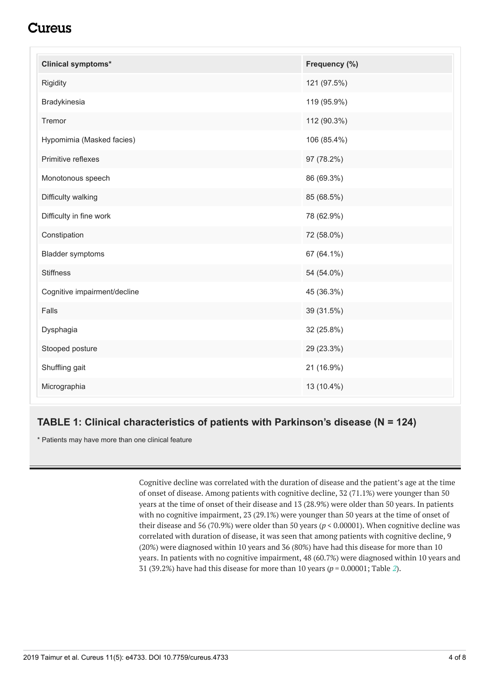## Cureus

| <b>Clinical symptoms*</b>    | Frequency (%) |
|------------------------------|---------------|
| Rigidity                     | 121 (97.5%)   |
| Bradykinesia                 | 119 (95.9%)   |
| Tremor                       | 112 (90.3%)   |
| Hypomimia (Masked facies)    | 106 (85.4%)   |
| Primitive reflexes           | 97 (78.2%)    |
| Monotonous speech            | 86 (69.3%)    |
| Difficulty walking           | 85 (68.5%)    |
| Difficulty in fine work      | 78 (62.9%)    |
| Constipation                 | 72 (58.0%)    |
| <b>Bladder symptoms</b>      | 67 (64.1%)    |
| <b>Stiffness</b>             | 54 (54.0%)    |
| Cognitive impairment/decline | 45 (36.3%)    |
| Falls                        | 39 (31.5%)    |
| Dysphagia                    | 32 (25.8%)    |
| Stooped posture              | 29 (23.3%)    |
| Shuffling gait               | 21 (16.9%)    |
| Micrographia                 | 13 (10.4%)    |

#### **TABLE 1: Clinical characteristics of patients with Parkinson's disease (N = 124)**

\* Patients may have more than one clinical feature

Cognitive decline was correlated with the duration of disease and the patient's age at the time of onset of disease. Among patients with cognitive decline, 32 (71.1%) were younger than 50 years at the time of onset of their disease and 13 (28.9%) were older than 50 years. In patients with no cognitive impairment, 23 (29.1%) were younger than 50 years at the time of onset of their disease and 56 (70.9%) were older than 50 years (*p* < 0.00001). When cognitive decline was correlated with duration of disease, it was seen that among patients with cognitive decline, 9 (20%) were diagnosed within 10 years and 36 (80%) have had this disease for more than 10 years. In patients with no cognitive impairment, 48 (60.7%) were diagnosed within 10 years and 31 (39.2%) have had this disease for more than 10 years (*p* = 0.00001; Table *[2](#page-4-0)*).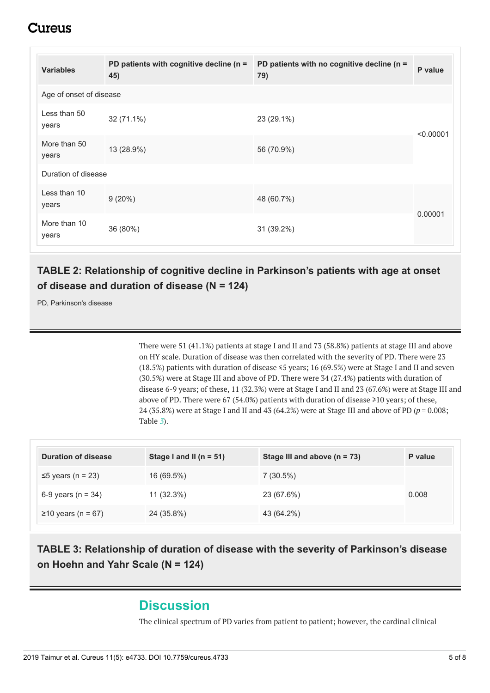## iureus

| <b>Variables</b>        | PD patients with cognitive decline (n =<br>45) | PD patients with no cognitive decline (n =<br>79) | P value   |  |  |  |
|-------------------------|------------------------------------------------|---------------------------------------------------|-----------|--|--|--|
| Age of onset of disease |                                                |                                                   |           |  |  |  |
| Less than 50<br>years   | 32 (71.1%)                                     | 23 (29.1%)                                        | < 0.00001 |  |  |  |
| More than 50<br>years   | 13 (28.9%)                                     | 56 (70.9%)                                        |           |  |  |  |
| Duration of disease     |                                                |                                                   |           |  |  |  |
| Less than 10<br>years   | $9(20\%)$                                      | 48 (60.7%)                                        | 0.00001   |  |  |  |
| More than 10<br>years   | 36 (80%)                                       | 31 (39.2%)                                        |           |  |  |  |

#### **TABLE 2: Relationship of cognitive decline in Parkinson's patients with age at onset of disease and duration of disease (N = 124)**

PD, Parkinson's disease

There were 51 (41.1%) patients at stage I and II and 73 (58.8%) patients at stage III and above on HY scale. Duration of disease was then correlated with the severity of PD. There were 23 (18.5%) patients with duration of disease ≤5 years; 16 (69.5%) were at Stage I and II and seven (30.5%) were at Stage III and above of PD. There were 34 (27.4%) patients with duration of disease 6-9 years; of these, 11 (32.3%) were at Stage I and II and 23 (67.6%) were at Stage III and above of PD. There were 67 (54.0%) patients with duration of disease ≥10 years; of these, 24 (35.8%) were at Stage I and II and 43 (64.2%) were at Stage III and above of PD (*p* = 0.008; Table *[3](#page-4-1)*).

| <b>Duration of disease</b> | Stage I and II ( $n = 51$ ) | Stage III and above $(n = 73)$ | P value |
|----------------------------|-----------------------------|--------------------------------|---------|
| $\leq$ 5 years (n = 23)    | 16 (69.5%)                  | $7(30.5\%)$                    |         |
| 6-9 years ( $n = 34$ )     | $11(32.3\%)$                | 23 (67.6%)                     | 0.008   |
| $≥10$ years (n = 67)       | 24 (35.8%)                  | 43 (64.2%)                     |         |

**TABLE 3: Relationship of duration of disease with the severity of Parkinson's disease on Hoehn and Yahr Scale (N = 124)**

## **Discussion**

The clinical spectrum of PD varies from patient to patient; however, the cardinal clinical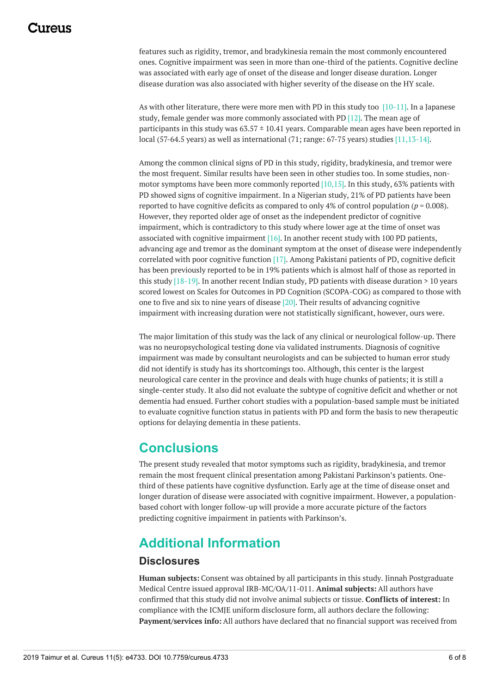## 117A119

features such as rigidity, tremor, and bradykinesia remain the most commonly encountered ones. Cognitive impairment was seen in more than one-third of the patients. Cognitive decline was associated with early age of onset of the disease and longer disease duration. Longer disease duration was also associated with higher severity of the disease on the HY scale.

As with other literature, there were more men with PD in this study too  $[10-11]$ . In a Japanese study, female gender was more commonly associated with PD [12]. The mean age of participants in this study was  $63.57 \pm 10.41$  years. Comparable mean ages have been reported in local (57-64.5 years) as well as international (71; range: 67-75 years) studies [11,13-14].

Among the common clinical signs of PD in this study, rigidity, bradykinesia, and tremor were the most frequent. Similar results have been seen in other studies too. In some studies, nonmotor symptoms have been more commonly reported  $[10,15]$ . In this study, 63% patients with PD showed signs of cognitive impairment. In a Nigerian study, 21% of PD patients have been reported to have cognitive deficits as compared to only 4% of control population (*p* = 0.008). However, they reported older age of onset as the independent predictor of cognitive impairment, which is contradictory to this study where lower age at the time of onset was associated with cognitive impairment  $[16]$ . In another recent study with 100 PD patients, advancing age and tremor as the dominant symptom at the onset of disease were independently correlated with poor cognitive function [17]. Among Pakistani patients of PD, cognitive deficit has been previously reported to be in 19% patients which is almost half of those as reported in this study  $[18-19]$ . In another recent Indian study, PD patients with disease duration > 10 years scored lowest on Scales for Outcomes in PD Cognition (SCOPA-COG) as compared to those with one to five and six to nine years of disease [20]. Their results of advancing cognitive impairment with increasing duration were not statistically significant, however, ours were.

The major limitation of this study was the lack of any clinical or neurological follow-up. There was no neuropsychological testing done via validated instruments. Diagnosis of cognitive impairment was made by consultant neurologists and can be subjected to human error study did not identify is study has its shortcomings too. Although, this center is the largest neurological care center in the province and deals with huge chunks of patients; it is still a single-center study. It also did not evaluate the subtype of cognitive deficit and whether or not dementia had ensued. Further cohort studies with a population-based sample must be initiated to evaluate cognitive function status in patients with PD and form the basis to new therapeutic options for delaying dementia in these patients.

## **Conclusions**

The present study revealed that motor symptoms such as rigidity, bradykinesia, and tremor remain the most frequent clinical presentation among Pakistani Parkinson's patients. Onethird of these patients have cognitive dysfunction. Early age at the time of disease onset and longer duration of disease were associated with cognitive impairment. However, a populationbased cohort with longer follow-up will provide a more accurate picture of the factors predicting cognitive impairment in patients with Parkinson's.

## **Additional Information**

#### **Disclosures**

**Human subjects:** Consent was obtained by all participants in this study. Jinnah Postgraduate Medical Centre issued approval IRB-MC/OA/11-011. **Animal subjects:** All authors have confirmed that this study did not involve animal subjects or tissue. **Conflicts of interest:** In compliance with the ICMJE uniform disclosure form, all authors declare the following: **Payment/services info:** All authors have declared that no financial support was received from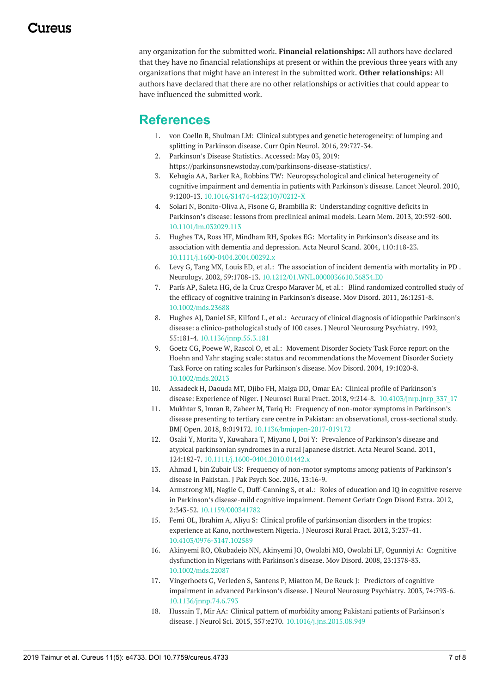any organization for the submitted work. **Financial relationships:** All authors have declared that they have no financial relationships at present or within the previous three years with any organizations that might have an interest in the submitted work. **Other relationships:** All authors have declared that there are no other relationships or activities that could appear to have influenced the submitted work.

## **References**

- 1. von Coelln R, Shulman LM: Clinical subtypes and genetic [heterogeneity:](https://www.ncbi.nlm.nih.gov/pubmed/27749396) of lumping and splitting in Parkinson disease. Curr Opin Neurol. 2016, 29:727-34.
- 2. [Parkinson's](https://parkinsonsnewstoday.com/parkinsons-disease-statistics/) Disease Statistics. Accessed: May 03, 2019: <https://parkinsonsnewstoday.com/parkinsons-disease-statistics/>.
- 3. Kehagia AA, Barker RA, Robbins TW: [Neuropsychological](https://dx.doi.org/10.1016/S1474-4422(10)70212-X) and clinical heterogeneity of cognitive impairment and dementia in patients with Parkinson's disease. Lancet Neurol. 2010, 9:1200-13. [10.1016/S1474-4422\(10\)70212-X](https://dx.doi.org/10.1016/S1474-4422(10)70212-X)
- 4. Solari N, Bonito-Oliva A, Fisone G, Brambilla R: [Understanding](https://dx.doi.org/10.1101/lm.032029.113) cognitive deficits in Parkinson's disease: lessons from preclinical animal models. Learn Mem. 2013, 20:592-600. [10.1101/lm.032029.113](https://dx.doi.org/10.1101/lm.032029.113)
- 5. Hughes TA, Ross HF, Mindham RH, Spokes EG: Mortality in Parkinson's disease and its association with dementia and depression. Acta Neurol Scand. 2004, [110:118-23.](https://dx.doi.org/10.1111/j.1600-0404.2004.00292.x) [10.1111/j.1600-0404.2004.00292.x](https://dx.doi.org/10.1111/j.1600-0404.2004.00292.x)
- 6. Levy G, Tang MX, Louis ED, et al.: The [association](https://dx.doi.org/10.1212/01.WNL.0000036610.36834.E0) of incident dementia with mortality in PD . Neurology. 2002, 59:1708-13. [10.1212/01.WNL.0000036610.36834.E0](https://dx.doi.org/10.1212/01.WNL.0000036610.36834.E0)
- 7. París AP, Saleta HG, de la Cruz Crespo Maraver M, et al.: Blind [randomized](https://dx.doi.org/10.1002/mds.23688) controlled study of the efficacy of cognitive training in Parkinson's disease. Mov Disord. 2011, 26:1251-8. [10.1002/mds.23688](https://dx.doi.org/10.1002/mds.23688)
- 8. Hughes AJ, Daniel SE, Kilford L, et al.: Accuracy of clinical diagnosis of idiopathic Parkinson's disease: a [clinico-pathological](https://dx.doi.org/10.1136/jnnp.55.3.181) study of 100 cases. J Neurol Neurosurg Psychiatry. 1992, 55:181-4. [10.1136/jnnp.55.3.181](https://dx.doi.org/10.1136/jnnp.55.3.181)
- 9. Goetz CG, Poewe W, Rascol O, et al.: Movement Disorder Society Task Force report on the Hoehn and Yahr staging scale: status and [recommendations](https://dx.doi.org/10.1002/mds.20213) the Movement Disorder Society Task Force on rating scales for Parkinson's disease. Mov Disord. 2004, 19:1020-8. [10.1002/mds.20213](https://dx.doi.org/10.1002/mds.20213)
- 10. Assadeck H, Daouda MT, Djibo FH, Maiga DD, Omar EA: Clinical profile of Parkinson's disease: Experience of Niger. J Neurosci Rural Pract. 2018, 9:214-8. [10.4103/jnrp.jnrp\\_337\\_17](https://dx.doi.org/10.4103/jnrp.jnrp_337_17)
- 11. Mukhtar S, Imran R, Zaheer M, Tariq H: Frequency of non-motor symptoms in Parkinson's disease presenting to tertiary care centre in Pakistan: an observational, [cross-sectional](https://dx.doi.org/10.1136/bmjopen-2017-019172) study. BMJ Open. 2018, 8:019172. [10.1136/bmjopen-2017-019172](https://dx.doi.org/10.1136/bmjopen-2017-019172)
- 12. Osaki Y, Morita Y, Kuwahara T, Miyano I, Doi Y: Prevalence of Parkinson's disease and atypical [parkinsonian](https://dx.doi.org/10.1111/j.1600-0404.2010.01442.x) syndromes in a rural Japanese district. Acta Neurol Scand. 2011, 124:182-7. [10.1111/j.1600-0404.2010.01442.x](https://dx.doi.org/10.1111/j.1600-0404.2010.01442.x)
- 13. Ahmad I, bin Zubair US: Frequency of non-motor symptoms among patients of [Parkinson's](http://www.jpps.com.pk/article/1477766772539-Frequency of non Motor Symptoms among Patients of Parkinsons Disease in Pakistan.pdf) disease in Pakistan. J Pak Psych Soc. 2016, 13:16-9.
- 14. Armstrong MJ, Naglie G, [Duff-Canning](https://dx.doi.org/10.1159/000341782) S, et al.: Roles of education and IQ in cognitive reserve in Parkinson's disease-mild cognitive impairment. Dement Geriatr Cogn Disord Extra. 2012, 2:343-52. [10.1159/000341782](https://dx.doi.org/10.1159/000341782)
- 15. Femi OL, Ibrahim A, Aliyu S: Clinical profile of parkinsonian disorders in the tropics: experience at Kano, [northwestern](https://dx.doi.org/10.4103/0976-3147.102589) Nigeria. J Neurosci Rural Pract. 2012, 3:237-41. [10.4103/0976-3147.102589](https://dx.doi.org/10.4103/0976-3147.102589)
- 16. Akinyemi RO, Okubadejo NN, Akinyemi JO, Owolabi MO, Owolabi LF, Ogunniyi A: Cognitive dysfunction in Nigerians with Parkinson's disease. Mov Disord. 2008, [23:1378-83.](https://dx.doi.org/10.1002/mds.22087) [10.1002/mds.22087](https://dx.doi.org/10.1002/mds.22087)
- 17. [Vingerhoets](https://dx.doi.org/10.1136/jnnp.74.6.793) G, Verleden S, Santens P, Miatton M, De Reuck J: Predictors of cognitive impairment in advanced Parkinson's disease. J Neurol Neurosurg Psychiatry. 2003, 74:793-6. [10.1136/jnnp.74.6.793](https://dx.doi.org/10.1136/jnnp.74.6.793)
- 18. Hussain T, Mir AA: Clinical pattern of morbidity among Pakistani patients of Parkinson's disease. J Neurol Sci. 2015, 357:e270. [10.1016/j.jns.2015.08.949](https://dx.doi.org/10.1016/j.jns.2015.08.949)